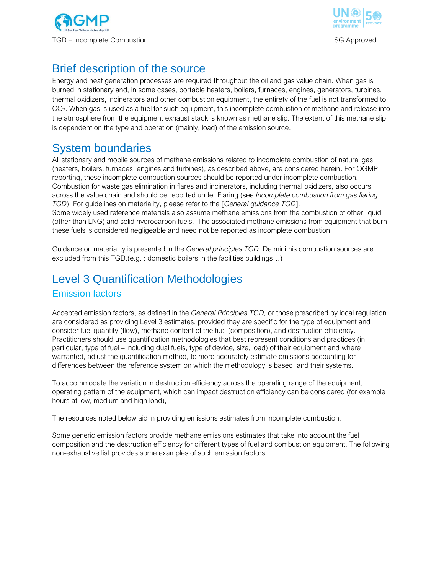



# Brief description of the source

Energy and heat generation processes are required throughout the oil and gas value chain. When gas is burned in stationary and, in some cases, portable heaters, boilers, furnaces, engines, generators, turbines, thermal oxidizers, incinerators and other combustion equipment, the entirety of the fuel is not transformed to CO<sub>2</sub>. When gas is used as a fuel for such equipment, this incomplete combustion of methane and release into the atmosphere from the equipment exhaust stack is known as methane slip. The extent of this methane slip is dependent on the type and operation (mainly, load) of the emission source.

## System boundaries

All stationary and mobile sources of methane emissions related to incomplete combustion of natural gas (heaters, boilers, furnaces, engines and turbines), as described above, are considered herein. For OGMP reporting, these incomplete combustion sources should be reported under incomplete combustion. Combustion for waste gas elimination in flares and incinerators, including thermal oxidizers, also occurs across the value chain and should be reported under Flaring (see *Incomplete combustion from gas flaring TGD*). For guidelines on materiality, please refer to the [*General guidance TGD*]. Some widely used reference materials also assume methane emissions from the combustion of other liquid (other than LNG) and solid hydrocarbon fuels. The associated methane emissions from equipment that burn these fuels is considered negligeable and need not be reported as incomplete combustion.

Guidance on materiality is presented in the *General principles TGD.* De minimis combustion sources are excluded from this TGD.(e.g. : domestic boilers in the facilities buildings…)

# Level 3 Quantification Methodologies Emission factors

Accepted emission factors, as defined in the *General Principles TGD,* or those prescribed by local regulation are considered as providing Level 3 estimates, provided they are specific for the type of equipment and consider fuel quantity (flow), methane content of the fuel (composition), and destruction efficiency. Practitioners should use quantification methodologies that best represent conditions and practices (in particular, type of fuel – including dual fuels, type of device, size, load) of their equipment and where warranted, adjust the quantification method, to more accurately estimate emissions accounting for differences between the reference system on which the methodology is based, and their systems.

To accommodate the variation in destruction efficiency across the operating range of the equipment, operating pattern of the equipment, which can impact destruction efficiency can be considered (for example hours at low, medium and high load),

The resources noted below aid in providing emissions estimates from incomplete combustion.

Some generic emission factors provide methane emissions estimates that take into account the fuel composition and the destruction efficiency for different types of fuel and combustion equipment. The following non-exhaustive list provides some examples of such emission factors: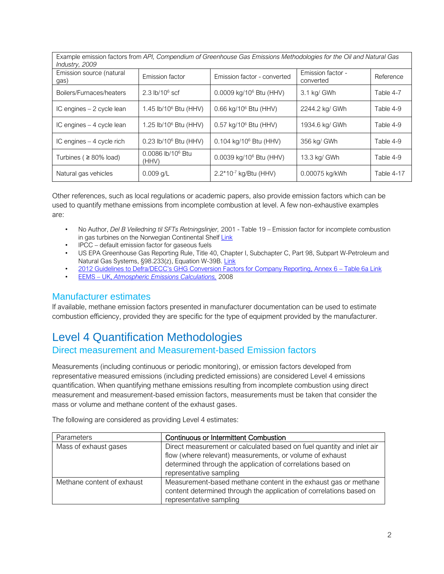Example emission factors from *API, Compendium of Greenhouse Gas Emissions Methodologies for the Oil and Natural Gas Industry, 2009* 

| $11100311$ y, $2000$             |                                   |                                     |                                |            |
|----------------------------------|-----------------------------------|-------------------------------------|--------------------------------|------------|
| Emission source (natural<br>gas) | Emission factor                   | Emission factor - converted         | Emission factor -<br>converted | Reference  |
| Boilers/Furnaces/heaters         | 2.3 $lb/10^6$ scf                 | 0.0009 kg/10 <sup>6</sup> Btu (HHV) | 3.1 kg/ GWh                    | Table 4-7  |
| IC engines - 2 cycle lean        | 1.45 lb/10 <sup>6</sup> Btu (HHV) | 0.66 kg/10 <sup>6</sup> Btu (HHV)   | 2244.2 kg/ GWh                 | Table 4-9  |
| IC engines - 4 cycle lean        | 1.25 lb/10 <sup>6</sup> Btu (HHV) | 0.57 kg/10 <sup>6</sup> Btu (HHV)   | 1934.6 kg/ GWh                 | Table 4-9  |
| IC engines $-4$ cycle rich       | 0.23 lb/10 <sup>6</sup> Btu (HHV) | 0.104 kg/10 <sup>6</sup> Btu (HHV)  | 356 kg/ GWh                    | Table 4-9  |
| Turbines ( $\geq 80\%$ load)     | $0.0086$ lb/10 $6$ Btu<br>(HHV)   | 0.0039 kg/10 <sup>6</sup> Btu (HHV) | 13.3 kg/ GWh                   | Table 4-9  |
| Natural gas vehicles             | $0.009$ q/L                       | 2.2*10-7 kg/Btu (HHV)               | 0.00075 kg/kWh                 | Table 4-17 |

Other references, such as local regulations or academic papers, also provide emission factors which can be used to quantify methane emissions from incomplete combustion at level. A few non-exhaustive examples are:

- No Author, *Del B Veiledning til SFTs Retningslinjer,* 2001 Table 19 Emission factor for incomplete combustion in gas turbines on the Norwegian Continental Shelf [Link](https://www.google.com/url?sa=t&rct=j&q=&esrc=s&source=web&cd=&ved=2ahUKEwjgjr_6gfjvAhVRpIsKHYi9APEQFjAAegQIBhAD&url=https%3A%2F%2Fnorskoljeoggass.no%2Fcontentassets%2F2384ff4e883441afba593ca26570b3e7%2Futslippsrapportering---del-b.pdf&usg=AOvVaw0M8ER1DHfooOkW_GP7Seoy)
- IPCC default emission factor for gaseous fuels
- US EPA Greenhouse Gas Reporting Rule, Title 40, Chapter I, Subchapter C, Part 98, Subpart W-Petroleum and Natural Gas Systems, §98.233(z), Equation W-39B. [Link](https://www.ecfr.gov/cgi-bin/text-idx?tpl=/ecfrbrowse/Title40/40cfr98_main_02.tpl)
- [2012 Guidelines to Defra/DECC's GHG Conversion Factors for Company Reporting](https://assets.publishing.service.gov.uk/government/uploads/system/uploads/attachment_data/file/69554/pb13773-ghg-conversion-factors-2012.pdf), Annex 6 Table 6[a Link](https://www.gov.uk/government/publications/2012-guidelines-to-defra-decc-s-ghg-conversion-factors-for-company-reporting-methodology-paper-for-emission-factors)
- EEMS UK, *Atmospheric Emissions Calculations,* 2008

### Manufacturer estimates

If available, methane emission factors presented in manufacturer documentation can be used to estimate combustion efficiency, provided they are specific for the type of equipment provided by the manufacturer.

## Level 4 Quantification Methodologies

### Direct measurement and Measurement-based Emission factors

Measurements (including continuous or periodic monitoring), or emission factors developed from representative measured emissions (including predicted emissions) are considered Level 4 emissions quantification. When quantifying methane emissions resulting from incomplete combustion using direct measurement and measurement-based emission factors, measurements must be taken that consider the mass or volume and methane content of the exhaust gases.

The following are considered as providing Level 4 estimates:

| <b>Parameters</b>          | <b>Continuous or Intermittent Combustion</b>                                                                                                                                                                                |
|----------------------------|-----------------------------------------------------------------------------------------------------------------------------------------------------------------------------------------------------------------------------|
| Mass of exhaust gases      | Direct measurement or calculated based on fuel quantity and inlet air<br>flow (where relevant) measurements, or volume of exhaust<br>determined through the application of correlations based on<br>representative sampling |
| Methane content of exhaust | Measurement-based methane content in the exhaust gas or methane<br>content determined through the application of correlations based on<br>representative sampling                                                           |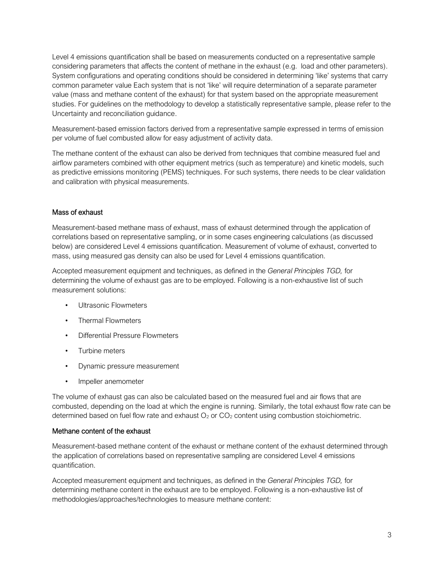Level 4 emissions quantification shall be based on measurements conducted on a representative sample considering parameters that affects the content of methane in the exhaust (e.g. load and other parameters). System configurations and operating conditions should be considered in determining 'like' systems that carry common parameter value Each system that is not 'like' will require determination of a separate parameter value (mass and methane content of the exhaust) for that system based on the appropriate measurement studies. For guidelines on the methodology to develop a statistically representative sample, please refer to the Uncertainty and reconciliation guidance.

Measurement-based emission factors derived from a representative sample expressed in terms of emission per volume of fuel combusted allow for easy adjustment of activity data.

The methane content of the exhaust can also be derived from techniques that combine measured fuel and airflow parameters combined with other equipment metrics (such as temperature) and kinetic models, such as predictive emissions monitoring (PEMS) techniques. For such systems, there needs to be clear validation and calibration with physical measurements.

#### Mass of exhaust

Measurement-based methane mass of exhaust, mass of exhaust determined through the application of correlations based on representative sampling, or in some cases engineering calculations (as discussed below) are considered Level 4 emissions quantification. Measurement of volume of exhaust, converted to mass, using measured gas density can also be used for Level 4 emissions quantification.

Accepted measurement equipment and techniques, as defined in the *General Principles TGD,* for determining the volume of exhaust gas are to be employed. Following is a non-exhaustive list of such measurement solutions:

- Ultrasonic Flowmeters
- Thermal Flowmeters
- Differential Pressure Flowmeters
- Turbine meters
- Dynamic pressure measurement
- Impeller anemometer

The volume of exhaust gas can also be calculated based on the measured fuel and air flows that are combusted, depending on the load at which the engine is running. Similarly, the total exhaust flow rate can be determined based on fuel flow rate and exhaust  $O_2$  or  $CO_2$  content using combustion stoichiometric.

#### Methane content of the exhaust

Measurement-based methane content of the exhaust or methane content of the exhaust determined through the application of correlations based on representative sampling are considered Level 4 emissions quantification.

Accepted measurement equipment and techniques, as defined in the *General Principles TGD,* for determining methane content in the exhaust are to be employed. Following is a non-exhaustive list of methodologies/approaches/technologies to measure methane content: